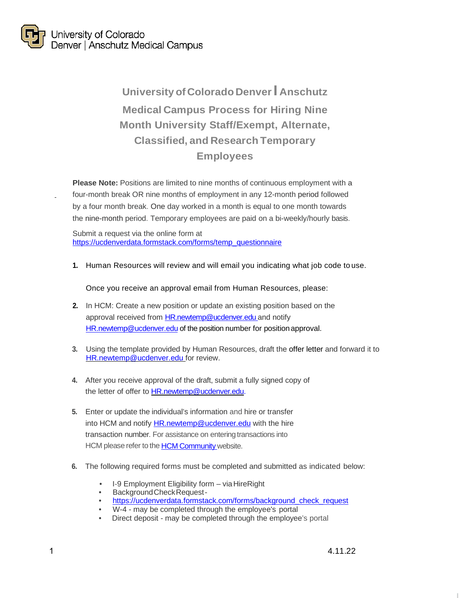

## **University of Colorado DenverI Anschutz Medical Campus Process for Hiring Nine Month University Staff/Exempt, Alternate, Classified, and Research Temporary Employees**

**Please Note:** Positions are limited to nine months of continuous employment with a four-month break OR nine months of employment in any 12-month period followed by a four month break. One day worked in a month is equal to one month towards the nine-month period. Temporary employees are paid on a bi-weekly/hourly basis.

Submit a request via the online form at [https://ucdenverdata.formstack.com/forms/temp\\_questionnaire](https://ucdenverdata.formstack.com/forms/temp_questionnaire)

**1.** Human Resources will review and will email you indicating what job code to use.

Once you receive an approval email from Human Resources, please:

- **2.** In HCM: Create a new position or update an existing position based on the approval received from [HR.newtemp@ucdenver.edu a](mailto:HR.newtemp@ucdenver.edu)nd notify [HR.newtemp@ucdenver.edu](mailto:HR.newtemp@ucdenver.edu) of the position number for position approval.
- **3.** Using the template provided by Human Resources, draft the offer letter and forward it to [HR.newtemp@ucdenver.edu fo](mailto:HR.newtemp@ucdenver.edu)r review.
- **4.** After you receive approval of the draft, submit a fully signed copy of the letter of offer t[o HR.newtemp@ucdenver.edu.](mailto:HR.newtemp@ucdenver.edu)
- **5.** Enter or update the individual's information and hire or transfer into HCM and notify **HR.newtemp@ucdenver.edu** with the hire transaction number. For assistance on entering transactions into HCM please refer to the HCM [Community](https://www.cu.edu/hcm-community/employee-transactions/pay-transactions) website.
- **6.** The following required forms must be completed and submitted as indicated below:
	- I-9 Employment Eligibility form via HireRight
	- BackgroundCheckRequest -
	- https://ucdenverdata.formstack.com/forms/background check request
	- W-4 may be completed through the employee's portal
	- Direct deposit may be completed through the employee's portal